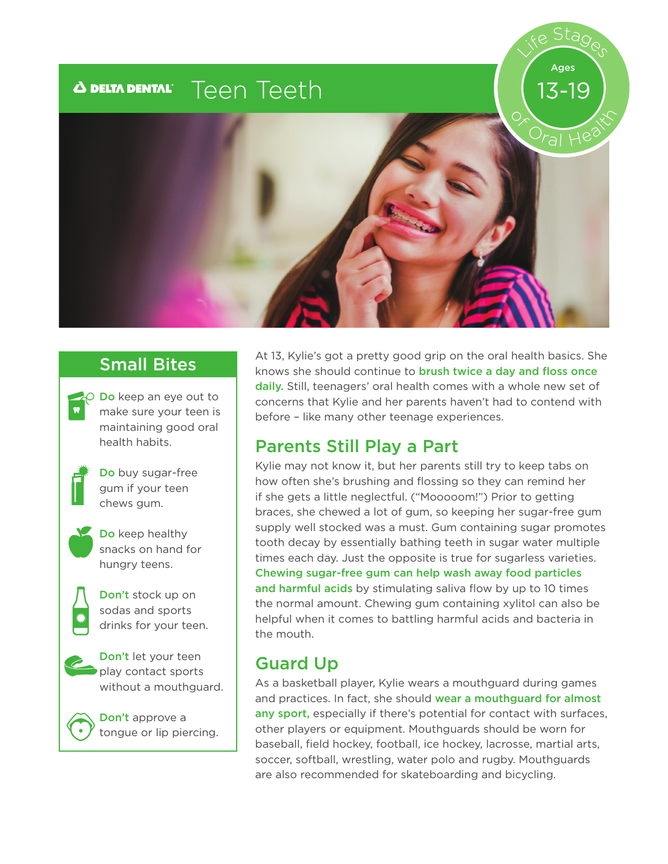#### Teen Teeth $\boldsymbol{\Delta}$  delta dental $^{\circ}$

# Life Stages 13-19 Ages



**O** Do keep an eye out to make sure your teen is maintaining good oral health habits.



Do buy sugar-free gum if your teen chews gum.



Do keep healthy snacks on hand for hungry teens.



Don't stock up on sodas and sports drinks for your teen.



Don't let your teen play contact sports without a mouthguard.

Don't approve a tongue or lip piercing.

Small Bites At 13, Kylie's got a pretty good grip on the oral health basics. She knows she should continue to **brush twice a day and floss once** daily. Still, teenagers' oral health comes with a whole new set of concerns that Kylie and her parents haven't had to contend with before – like many other teenage experiences.

#### Parents Still Play a Part

Kylie may not know it, but her parents still try to keep tabs on how often she's brushing and flossing so they can remind her if she gets a little neglectful. ("Mooooom!") Prior to getting braces, she chewed a lot of gum, so keeping her sugar-free gum supply well stocked was a must. Gum containing sugar promotes tooth decay by essentially bathing teeth in sugar water multiple times each day. Just the opposite is true for sugarless varieties. Chewing sugar-free gum can help wash away food particles and harmful acids by stimulating saliva flow by up to 10 times the normal amount. Chewing gum containing xylitol can also be helpful when it comes to battling harmful acids and bacteria in the mouth.

#### Guard Up

As a basketball player, Kylie wears a mouthguard during games and practices. In fact, she should wear a mouthguard for almost any sport, especially if there's potential for contact with surfaces, other players or equipment. Mouthguards should be worn for baseball, field hockey, football, ice hockey, lacrosse, martial arts, soccer, softball, wrestling, water polo and rugby. Mouthguards are also recommended for skateboarding and bicycling.